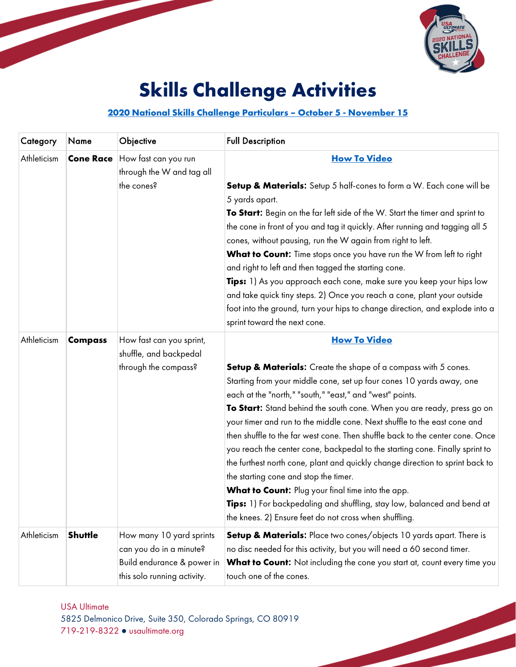

# **Skills Challenge Activities**

## **[2020 National Skills Challenge Particulars –](#page-5-0) October 5 - November 15**

| Category    | Name             | Objective                                                                                                        | <b>Full Description</b>                                                                                                                                                                                                                                                                                                                                                                                                                                                                                                                                                                                                                                                                                                                                                                                                                                                         |
|-------------|------------------|------------------------------------------------------------------------------------------------------------------|---------------------------------------------------------------------------------------------------------------------------------------------------------------------------------------------------------------------------------------------------------------------------------------------------------------------------------------------------------------------------------------------------------------------------------------------------------------------------------------------------------------------------------------------------------------------------------------------------------------------------------------------------------------------------------------------------------------------------------------------------------------------------------------------------------------------------------------------------------------------------------|
| Athleticism | <b>Cone Race</b> | How fast can you run<br>through the W and tag all<br>the cones?                                                  | <b>How To Video</b><br><b>Setup &amp; Materials:</b> Setup 5 half-cones to form a W. Each cone will be<br>5 yards apart.<br>To Start: Begin on the far left side of the W. Start the timer and sprint to<br>the cone in front of you and tag it quickly. After running and tagging all 5<br>cones, without pausing, run the W again from right to left.<br>What to Count: Time stops once you have run the W from left to right<br>and right to left and then tagged the starting cone.<br>Tips: 1) As you approach each cone, make sure you keep your hips low<br>and take quick tiny steps. 2) Once you reach a cone, plant your outside<br>foot into the ground, turn your hips to change direction, and explode into a<br>sprint toward the next cone.                                                                                                                      |
| Athleticism | <b>Compass</b>   | How fast can you sprint,<br>shuffle, and backpedal<br>through the compass?                                       | <b>How To Video</b><br><b>Setup &amp; Materials:</b> Create the shape of a compass with 5 cones.<br>Starting from your middle cone, set up four cones 10 yards away, one<br>each at the "north," "south," "east," and "west" points.<br>To Start: Stand behind the south cone. When you are ready, press go on<br>your timer and run to the middle cone. Next shuffle to the east cone and<br>then shuffle to the far west cone. Then shuffle back to the center cone. Once<br>you reach the center cone, backpedal to the starting cone. Finally sprint to<br>the furthest north cone, plant and quickly change direction to sprint back to<br>the starting cone and stop the timer.<br>What to Count: Plug your final time into the app.<br>Tips: 1) For backpedaling and shuffling, stay low, balanced and bend at<br>the knees. 2) Ensure feet do not cross when shuffling. |
| Athleticism | Shuttle          | How many 10 yard sprints<br>can you do in a minute?<br>Build endurance & power in<br>this solo running activity. | Setup & Materials: Place two cones/objects 10 yards apart. There is<br>no disc needed for this activity, but you will need a 60 second timer.<br>What to Count: Not including the cone you start at, count every time you<br>touch one of the cones.                                                                                                                                                                                                                                                                                                                                                                                                                                                                                                                                                                                                                            |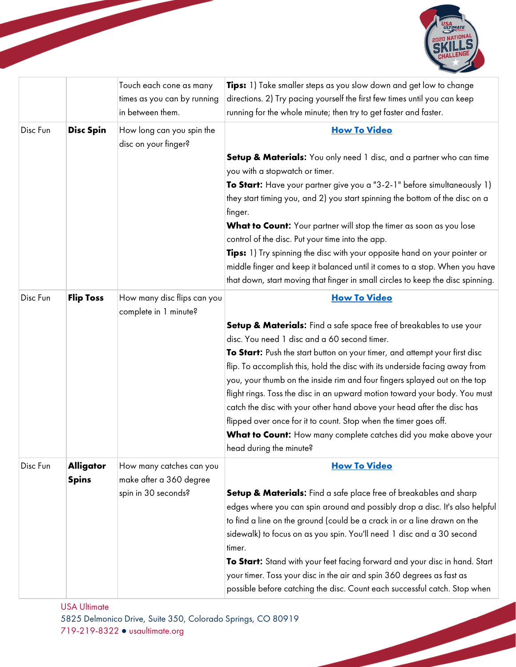

|          |                  | Touch each cone as many<br>times as you can by running<br>in between them. | <b>Tips:</b> 1) Take smaller steps as you slow down and get low to change<br>directions. 2) Try pacing yourself the first few times until you can keep<br>running for the whole minute; then try to get faster and faster. |
|----------|------------------|----------------------------------------------------------------------------|----------------------------------------------------------------------------------------------------------------------------------------------------------------------------------------------------------------------------|
| Disc Fun | <b>Disc Spin</b> | How long can you spin the<br>disc on your finger?                          | <b>How To Video</b>                                                                                                                                                                                                        |
|          |                  |                                                                            | <b>Setup &amp; Materials:</b> You only need 1 disc, and a partner who can time                                                                                                                                             |
|          |                  |                                                                            | you with a stopwatch or timer.                                                                                                                                                                                             |
|          |                  |                                                                            | To Start: Have your partner give you a "3-2-1" before simultaneously 1)                                                                                                                                                    |
|          |                  |                                                                            | they start timing you, and 2) you start spinning the bottom of the disc on a<br>finger.                                                                                                                                    |
|          |                  |                                                                            | What to Count: Your partner will stop the timer as soon as you lose                                                                                                                                                        |
|          |                  |                                                                            | control of the disc. Put your time into the app.                                                                                                                                                                           |
|          |                  |                                                                            | Tips: 1) Try spinning the disc with your opposite hand on your pointer or                                                                                                                                                  |
|          |                  |                                                                            | middle finger and keep it balanced until it comes to a stop. When you have                                                                                                                                                 |
|          |                  |                                                                            | that down, start moving that finger in small circles to keep the disc spinning.                                                                                                                                            |
| Disc Fun | <b>Flip Toss</b> | How many disc flips can you<br>complete in 1 minute?                       | <b>How To Video</b>                                                                                                                                                                                                        |
|          |                  |                                                                            | Setup & Materials: Find a safe space free of breakables to use your                                                                                                                                                        |
|          |                  |                                                                            | disc. You need 1 disc and a 60 second timer.                                                                                                                                                                               |
|          |                  |                                                                            | To Start: Push the start button on your timer, and attempt your first disc                                                                                                                                                 |
|          |                  |                                                                            | flip. To accomplish this, hold the disc with its underside facing away from                                                                                                                                                |
|          |                  |                                                                            | you, your thumb on the inside rim and four fingers splayed out on the top                                                                                                                                                  |
|          |                  |                                                                            | flight rings. Toss the disc in an upward motion toward your body. You must                                                                                                                                                 |
|          |                  |                                                                            | catch the disc with your other hand above your head after the disc has                                                                                                                                                     |
|          |                  |                                                                            | flipped over once for it to count. Stop when the timer goes off.                                                                                                                                                           |
|          |                  |                                                                            | What to Count: How many complete catches did you make above your<br>head during the minute?                                                                                                                                |
| Disc Fun | <b>Alligator</b> | How many catches can you                                                   | <b>How To Video</b>                                                                                                                                                                                                        |
|          | <b>Spins</b>     | make after a 360 degree                                                    |                                                                                                                                                                                                                            |
|          |                  | spin in 30 seconds?                                                        | Setup & Materials: Find a safe place free of breakables and sharp                                                                                                                                                          |
|          |                  |                                                                            | edges where you can spin around and possibly drop a disc. It's also helpful                                                                                                                                                |
|          |                  |                                                                            | to find a line on the ground (could be a crack in or a line drawn on the                                                                                                                                                   |
|          |                  |                                                                            | sidewalk) to focus on as you spin. You'll need 1 disc and a 30 second                                                                                                                                                      |
|          |                  |                                                                            | timer.                                                                                                                                                                                                                     |
|          |                  |                                                                            | To Start: Stand with your feet facing forward and your disc in hand. Start                                                                                                                                                 |
|          |                  |                                                                            | your timer. Toss your disc in the air and spin 360 degrees as fast as                                                                                                                                                      |
|          |                  |                                                                            | possible before catching the disc. Count each successful catch. Stop when                                                                                                                                                  |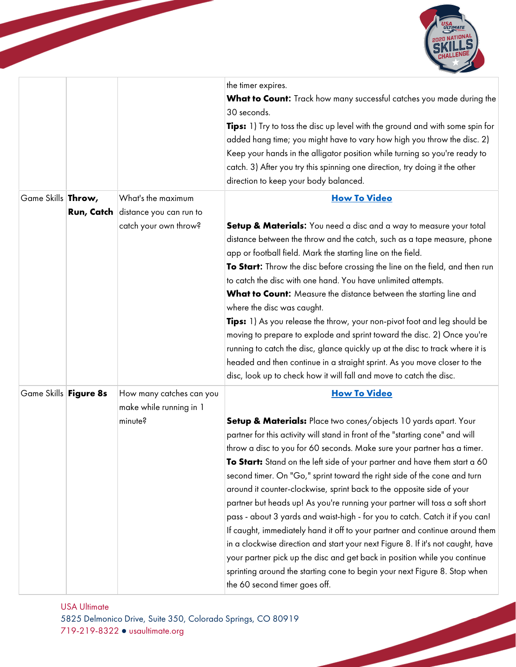

|                            |            |                                                                        | the timer expires.<br>What to Count: Track how many successful catches you made during the<br>30 seconds.<br>Tips: 1) Try to toss the disc up level with the ground and with some spin for<br>added hang time; you might have to vary how high you throw the disc. 2)<br>Keep your hands in the alligator position while turning so you're ready to<br>catch. 3) After you try this spinning one direction, try doing it the other<br>direction to keep your body balanced.                                                                                                                                                                                                                                                                                                                                                                                                                                                                                                                                      |
|----------------------------|------------|------------------------------------------------------------------------|------------------------------------------------------------------------------------------------------------------------------------------------------------------------------------------------------------------------------------------------------------------------------------------------------------------------------------------------------------------------------------------------------------------------------------------------------------------------------------------------------------------------------------------------------------------------------------------------------------------------------------------------------------------------------------------------------------------------------------------------------------------------------------------------------------------------------------------------------------------------------------------------------------------------------------------------------------------------------------------------------------------|
| Game Skills <b>Throw</b> , | Run, Catch | What's the maximum<br>distance you can run to<br>catch your own throw? | <b>How To Video</b><br>Setup & Materials: You need a disc and a way to measure your total                                                                                                                                                                                                                                                                                                                                                                                                                                                                                                                                                                                                                                                                                                                                                                                                                                                                                                                        |
|                            |            |                                                                        | distance between the throw and the catch, such as a tape measure, phone<br>app or football field. Mark the starting line on the field.<br>To Start: Throw the disc before crossing the line on the field, and then run<br>to catch the disc with one hand. You have unlimited attempts.<br>What to Count: Measure the distance between the starting line and<br>where the disc was caught.<br><b>Tips:</b> 1) As you release the throw, your non-pivot foot and leg should be<br>moving to prepare to explode and sprint toward the disc. 2) Once you're<br>running to catch the disc, glance quickly up at the disc to track where it is<br>headed and then continue in a straight sprint. As you move closer to the<br>disc, look up to check how it will fall and move to catch the disc.                                                                                                                                                                                                                     |
| Game Skills Figure 8s      |            | How many catches can you<br>make while running in 1<br>minute?         | <b>How To Video</b><br>Setup & Materials: Place two cones/objects 10 yards apart. Your<br>partner for this activity will stand in front of the "starting cone" and will<br>throw a disc to you for 60 seconds. Make sure your partner has a timer.<br>To Start: Stand on the left side of your partner and have them start a 60<br>second timer. On "Go," sprint toward the right side of the cone and turn<br>around it counter-clockwise, sprint back to the opposite side of your<br>partner but heads up! As you're running your partner will toss a soft short<br>pass - about 3 yards and waist-high - for you to catch. Catch it if you can!<br>If caught, immediately hand it off to your partner and continue around them<br>in a clockwise direction and start your next Figure 8. If it's not caught, have<br>your partner pick up the disc and get back in position while you continue<br>sprinting around the starting cone to begin your next Figure 8. Stop when<br>the 60 second timer goes off. |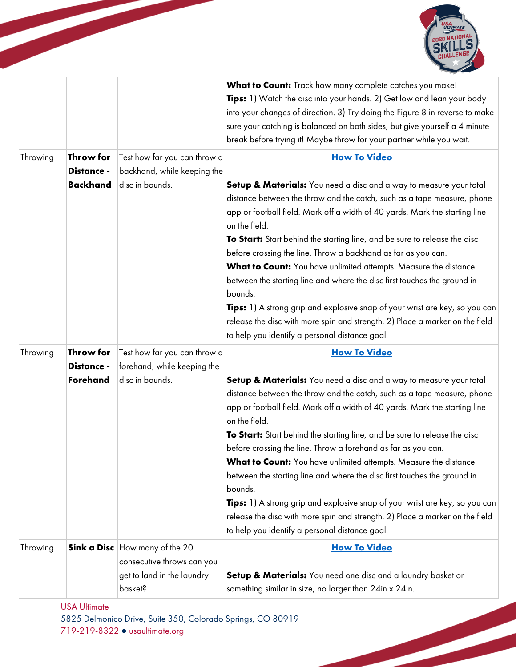

|          |                               |                                                                                                              | What to Count: Track how many complete catches you make!<br>Tips: 1) Watch the disc into your hands. 2) Get low and lean your body<br>into your changes of direction. 3) Try doing the Figure 8 in reverse to make<br>sure your catching is balanced on both sides, but give yourself a 4 minute<br>break before trying it! Maybe throw for your partner while you wait.                                                                                                                                                                                                                                                                                                                                                                                                       |
|----------|-------------------------------|--------------------------------------------------------------------------------------------------------------|--------------------------------------------------------------------------------------------------------------------------------------------------------------------------------------------------------------------------------------------------------------------------------------------------------------------------------------------------------------------------------------------------------------------------------------------------------------------------------------------------------------------------------------------------------------------------------------------------------------------------------------------------------------------------------------------------------------------------------------------------------------------------------|
| Throwing | Throw for<br>Distance -       | Test how far you can throw a<br>backhand, while keeping the                                                  | <b>How To Video</b>                                                                                                                                                                                                                                                                                                                                                                                                                                                                                                                                                                                                                                                                                                                                                            |
|          | <b>Backhand</b>               | disc in bounds.                                                                                              | Setup & Materials: You need a disc and a way to measure your total<br>distance between the throw and the catch, such as a tape measure, phone<br>app or football field. Mark off a width of 40 yards. Mark the starting line<br>on the field.<br>To Start: Start behind the starting line, and be sure to release the disc<br>before crossing the line. Throw a backhand as far as you can.<br>What to Count: You have unlimited attempts. Measure the distance<br>between the starting line and where the disc first touches the ground in<br>bounds.<br><b>Tips:</b> 1) A strong grip and explosive snap of your wrist are key, so you can<br>release the disc with more spin and strength. 2) Place a marker on the field<br>to help you identify a personal distance goal. |
| Throwing | Throw for                     | Test how far you can throw a                                                                                 | <b>How To Video</b>                                                                                                                                                                                                                                                                                                                                                                                                                                                                                                                                                                                                                                                                                                                                                            |
|          | Distance -<br><b>Forehand</b> | forehand, while keeping the<br>disc in bounds.                                                               | Setup & Materials: You need a disc and a way to measure your total<br>distance between the throw and the catch, such as a tape measure, phone<br>app or football field. Mark off a width of 40 yards. Mark the starting line<br>on the field.<br>To Start: Start behind the starting line, and be sure to release the disc<br>before crossing the line. Throw a forehand as far as you can.<br>What to Count: You have unlimited attempts. Measure the distance<br>between the starting line and where the disc first touches the ground in<br>bounds.<br>Tips: 1) A strong grip and explosive snap of your wrist are key, so you can<br>release the disc with more spin and strength. 2) Place a marker on the field<br>to help you identify a personal distance goal.        |
| Throwing |                               | <b>Sink a Disc</b> How many of the 20<br>consecutive throws can you<br>get to land in the laundry<br>basket? | <b>How To Video</b><br><b>Setup &amp; Materials:</b> You need one disc and a laundry basket or<br>something similar in size, no larger than 24in x 24in.                                                                                                                                                                                                                                                                                                                                                                                                                                                                                                                                                                                                                       |

USA Ultimate

5825 Delmonico Drive, Suite 350, Colorado Springs, CO 80919 719-219-8322 ● usaultimate.org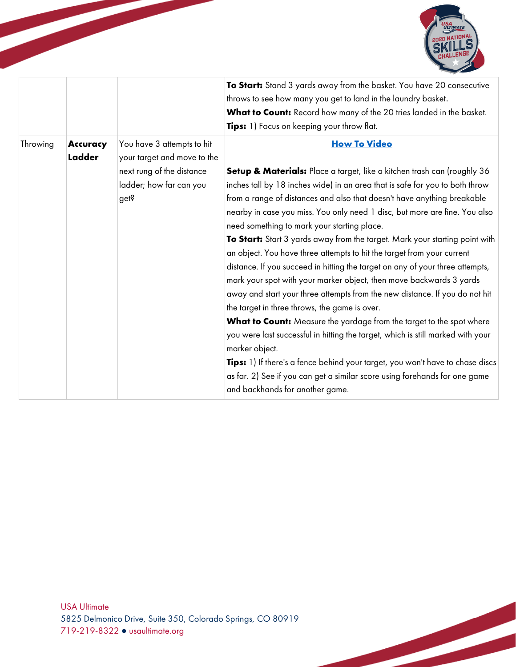

|          |                    |                                                                                                                           | To Start: Stand 3 yards away from the basket. You have 20 consecutive<br>throws to see how many you get to land in the laundry basket.<br>What to Count: Record how many of the 20 tries landed in the basket.<br>Tips: 1) Focus on keeping your throw flat.                                                                                                                                                                                                                                                                                                                                                                                                                                                                                                                                                                                                                                                                                                                                                                                                                                                                                                                                                           |
|----------|--------------------|---------------------------------------------------------------------------------------------------------------------------|------------------------------------------------------------------------------------------------------------------------------------------------------------------------------------------------------------------------------------------------------------------------------------------------------------------------------------------------------------------------------------------------------------------------------------------------------------------------------------------------------------------------------------------------------------------------------------------------------------------------------------------------------------------------------------------------------------------------------------------------------------------------------------------------------------------------------------------------------------------------------------------------------------------------------------------------------------------------------------------------------------------------------------------------------------------------------------------------------------------------------------------------------------------------------------------------------------------------|
| Throwing | Accuracy<br>Ladder | You have 3 attempts to hit<br>your target and move to the<br>next rung of the distance<br>ladder; how far can you<br>get? | <b>How To Video</b><br>Setup & Materials: Place a target, like a kitchen trash can (roughly 36<br>inches tall by 18 inches wide) in an area that is safe for you to both throw<br>from a range of distances and also that doesn't have anything breakable<br>nearby in case you miss. You only need 1 disc, but more are fine. You also<br>need something to mark your starting place.<br>To Start: Start 3 yards away from the target. Mark your starting point with<br>an object. You have three attempts to hit the target from your current<br>distance. If you succeed in hitting the target on any of your three attempts,<br>mark your spot with your marker object, then move backwards 3 yards<br>away and start your three attempts from the new distance. If you do not hit<br>the target in three throws, the game is over.<br>What to Count: Measure the yardage from the target to the spot where<br>you were last successful in hitting the target, which is still marked with your<br>marker object.<br>Tips: 1) If there's a fence behind your target, you won't have to chase discs<br>as far. 2) See if you can get a similar score using forehands for one game<br>and backhands for another game. |